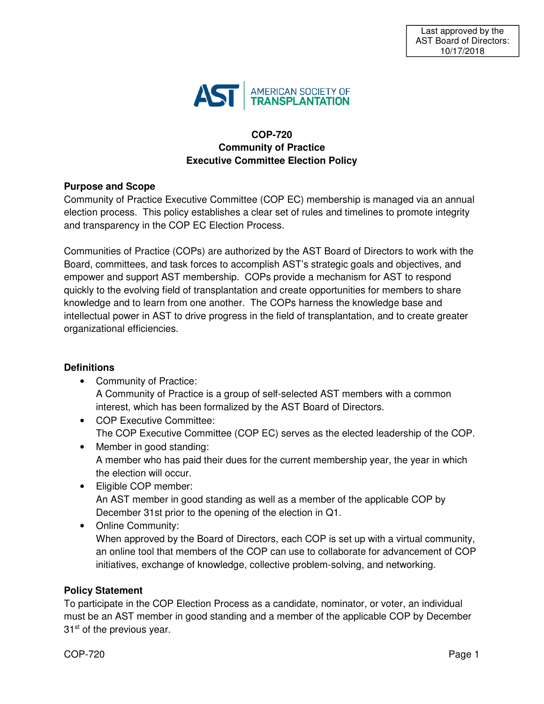

# **COP-720 Community of Practice Executive Committee Election Policy**

## **Purpose and Scope**

Community of Practice Executive Committee (COP EC) membership is managed via an annual election process. This policy establishes a clear set of rules and timelines to promote integrity and transparency in the COP EC Election Process.

Communities of Practice (COPs) are authorized by the AST Board of Directors to work with the Board, committees, and task forces to accomplish AST's strategic goals and objectives, and empower and support AST membership. COPs provide a mechanism for AST to respond quickly to the evolving field of transplantation and create opportunities for members to share knowledge and to learn from one another. The COPs harness the knowledge base and intellectual power in AST to drive progress in the field of transplantation, and to create greater organizational efficiencies.

## **Definitions**

- Community of Practice: A Community of Practice is a group of self-selected AST members with a common interest, which has been formalized by the AST Board of Directors.
- COP Executive Committee: The COP Executive Committee (COP EC) serves as the elected leadership of the COP.
- Member in good standing: A member who has paid their dues for the current membership year, the year in which the election will occur.
- Eligible COP member: An AST member in good standing as well as a member of the applicable COP by December 31st prior to the opening of the election in Q1.
- Online Community: When approved by the Board of Directors, each COP is set up with a virtual community, an online tool that members of the COP can use to collaborate for advancement of COP initiatives, exchange of knowledge, collective problem-solving, and networking.

# **Policy Statement**

To participate in the COP Election Process as a candidate, nominator, or voter, an individual must be an AST member in good standing and a member of the applicable COP by December  $31<sup>st</sup>$  of the previous year.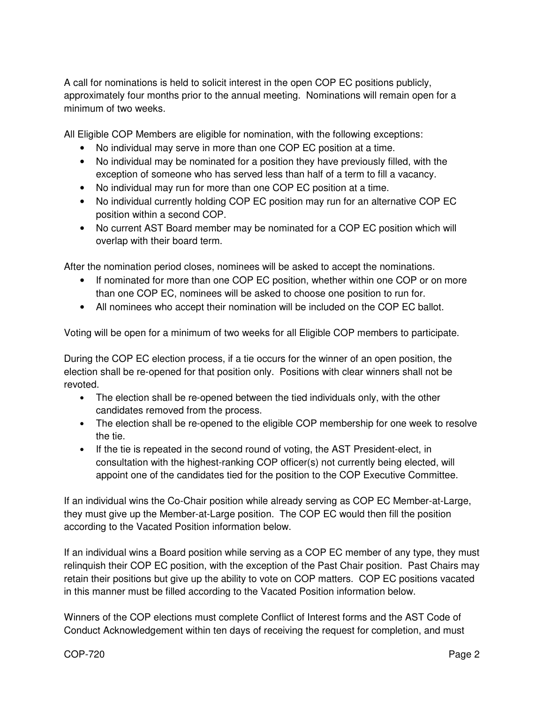A call for nominations is held to solicit interest in the open COP EC positions publicly, approximately four months prior to the annual meeting. Nominations will remain open for a minimum of two weeks.

All Eligible COP Members are eligible for nomination, with the following exceptions:

- No individual may serve in more than one COP EC position at a time.
- No individual may be nominated for a position they have previously filled, with the exception of someone who has served less than half of a term to fill a vacancy.
- No individual may run for more than one COP EC position at a time.
- No individual currently holding COP EC position may run for an alternative COP EC position within a second COP.
- No current AST Board member may be nominated for a COP EC position which will overlap with their board term.

After the nomination period closes, nominees will be asked to accept the nominations.

- If nominated for more than one COP EC position, whether within one COP or on more than one COP EC, nominees will be asked to choose one position to run for.
- All nominees who accept their nomination will be included on the COP EC ballot.

Voting will be open for a minimum of two weeks for all Eligible COP members to participate.

During the COP EC election process, if a tie occurs for the winner of an open position, the election shall be re-opened for that position only. Positions with clear winners shall not be revoted.

- The election shall be re-opened between the tied individuals only, with the other candidates removed from the process.
- The election shall be re-opened to the eligible COP membership for one week to resolve the tie.
- If the tie is repeated in the second round of voting, the AST President-elect, in consultation with the highest-ranking COP officer(s) not currently being elected, will appoint one of the candidates tied for the position to the COP Executive Committee.

If an individual wins the Co-Chair position while already serving as COP EC Member-at-Large, they must give up the Member-at-Large position. The COP EC would then fill the position according to the Vacated Position information below.

If an individual wins a Board position while serving as a COP EC member of any type, they must relinquish their COP EC position, with the exception of the Past Chair position. Past Chairs may retain their positions but give up the ability to vote on COP matters. COP EC positions vacated in this manner must be filled according to the Vacated Position information below.

Winners of the COP elections must complete Conflict of Interest forms and the AST Code of Conduct Acknowledgement within ten days of receiving the request for completion, and must